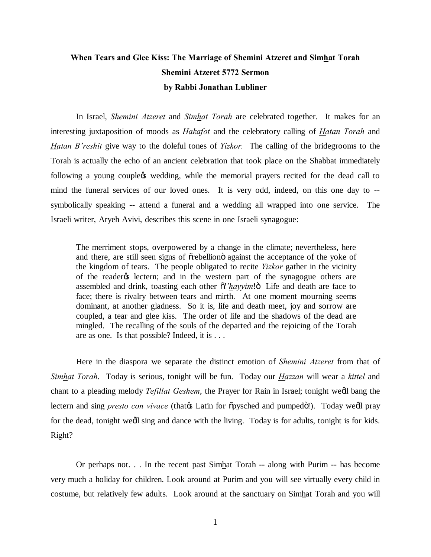## **When Tears and Glee Kiss: The Marriage of Shemini Atzeret and Simhat Torah Shemini Atzeret 5772 Sermon by Rabbi Jonathan Lubliner**

In Israel, *Shemini Atzeret* and *Simhat Torah* are celebrated together. It makes for an interesting juxtaposition of moods as *Hakafot* and the celebratory calling of *Hatan Torah* and *Hatan B'reshit* give way to the doleful tones of *Yizkor.* The calling of the bridegrooms to the Torah is actually the echo of an ancient celebration that took place on the Shabbat immediately following a young couplegs wedding, while the memorial prayers recited for the dead call to mind the funeral services of our loved ones. It is very odd, indeed, on this one day to - symbolically speaking -- attend a funeral and a wedding all wrapped into one service. The Israeli writer, Aryeh Avivi, describes this scene in one Israeli synagogue:

The merriment stops, overpowered by a change in the climate; nevertheless, here and there, are still seen signs of  $\tilde{\sigma}$ rebellion $\ddot{\sigma}$  against the acceptance of the yoke of the kingdom of tears. The people obligated to recite *Yizkor* gather in the vicinity of the reader<sub>%</sub> lectern; and in the western part of the synagogue others are assembled and drink, toasting each other  $\tilde{\alpha}$ '*hayyim*!" Life and death are face to face; there is rivalry between tears and mirth. At one moment mourning seems dominant, at another gladness. So it is, life and death meet, joy and sorrow are coupled, a tear and glee kiss. The order of life and the shadows of the dead are mingled. The recalling of the souls of the departed and the rejoicing of the Torah are as one. Is that possible? Indeed, it is . . .

Here in the diaspora we separate the distinct emotion of *Shemini Atzeret* from that of *Simhat Torah*. Today is serious, tonight will be fun. Today our *Hazzan* will wear a *kittel* and chant to a pleading melody *Tefillat Geshem*, the Prayer for Rain in Israel; tonight wedl bang the lectern and sing *presto con vivace* (that the Latin for  $\tilde{\sigma}$ pysched and pumpedö!). Today we'll pray for the dead, tonight weall sing and dance with the living. Today is for adults, tonight is for kids. Right?

Or perhaps not. . . In the recent past Simhat Torah -- along with Purim -- has become very much a holiday for children. Look around at Purim and you will see virtually every child in costume, but relatively few adults. Look around at the sanctuary on Simhat Torah and you will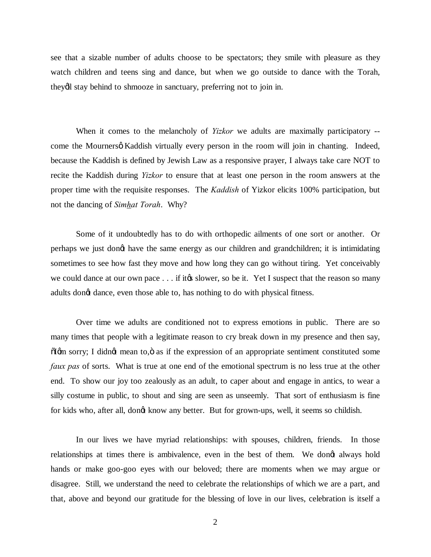see that a sizable number of adults choose to be spectators; they smile with pleasure as they watch children and teens sing and dance, but when we go outside to dance with the Torah, they'll stay behind to shmooze in sanctuary, preferring not to join in.

When it comes to the melancholy of *Yizkor* we adults are maximally participatory - come the Mourners o Kaddish virtually every person in the room will join in chanting. Indeed, because the Kaddish is defined by Jewish Law as a responsive prayer, I always take care NOT to recite the Kaddish during *Yizkor* to ensure that at least one person in the room answers at the proper time with the requisite responses. The *Kaddish* of Yizkor elicits 100% participation, but not the dancing of *Simhat Torah*. Why?

Some of it undoubtedly has to do with orthopedic ailments of one sort or another. Or perhaps we just don't have the same energy as our children and grandchildren; it is intimidating sometimes to see how fast they move and how long they can go without tiring. Yet conceivably we could dance at our own pace  $\dots$  if it to slower, so be it. Yet I suspect that the reason so many adults dongt dance, even those able to, has nothing to do with physical fitness.

Over time we adults are conditioned not to express emotions in public. There are so many times that people with a legitimate reason to cry break down in my presence and then say,  $\delta$ Igm sorry; I didngt mean to, $\ddot{o}$  as if the expression of an appropriate sentiment constituted some *faux pas* of sorts. What is true at one end of the emotional spectrum is no less true at the other end. To show our joy too zealously as an adult, to caper about and engage in antics, to wear a silly costume in public, to shout and sing are seen as unseemly. That sort of enthusiasm is fine for kids who, after all, dongt know any better. But for grown-ups, well, it seems so childish.

In our lives we have myriad relationships: with spouses, children, friends. In those relationships at times there is ambivalence, even in the best of them. We dongt always hold hands or make goo-goo eyes with our beloved; there are moments when we may argue or disagree. Still, we understand the need to celebrate the relationships of which we are a part, and that, above and beyond our gratitude for the blessing of love in our lives, celebration is itself a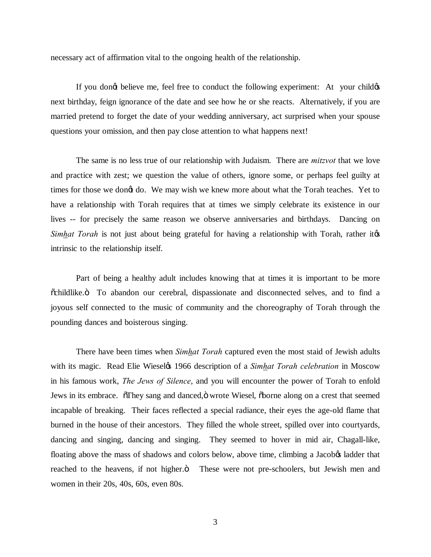necessary act of affirmation vital to the ongoing health of the relationship.

If you dong believe me, feel free to conduct the following experiment: At your childge next birthday, feign ignorance of the date and see how he or she reacts. Alternatively, if you are married pretend to forget the date of your wedding anniversary, act surprised when your spouse questions your omission, and then pay close attention to what happens next!

The same is no less true of our relationship with Judaism. There are *mitzvot* that we love and practice with zest; we question the value of others, ignore some, or perhaps feel guilty at times for those we dong do. We may wish we knew more about what the Torah teaches. Yet to have a relationship with Torah requires that at times we simply celebrate its existence in our lives -- for precisely the same reason we observe anniversaries and birthdays. Dancing on *Simhat Torah* is not just about being grateful for having a relationship with Torah, rather it  $\alpha$ intrinsic to the relationship itself.

Part of being a healthy adult includes knowing that at times it is important to be more  $\ddot{\text{o}}$ childlike. To abandon our cerebral, dispassionate and disconnected selves, and to find a joyous self connected to the music of community and the choreography of Torah through the pounding dances and boisterous singing.

There have been times when *Simhat Torah* captured even the most staid of Jewish adults with its magic. Read Elie Wiesel*o*s 1966 description of a *Simhat Torah celebration* in Moscow in his famous work, *The Jews of Silence*, and you will encounter the power of Torah to enfold Jews in its embrace. They sang and danced,  $\ddot{o}$  wrote Wiesel,  $\ddot{o}$  borne along on a crest that seemed incapable of breaking. Their faces reflected a special radiance, their eyes the age-old flame that burned in the house of their ancestors. They filled the whole street, spilled over into courtyards, dancing and singing, dancing and singing. They seemed to hover in mid air, Chagall-like, floating above the mass of shadows and colors below, above time, climbing a Jacob<sub>o</sub> ladder that reached to the heavens, if not higher. $\ddot{o}$  These were not pre-schoolers, but Jewish men and women in their 20s, 40s, 60s, even 80s.